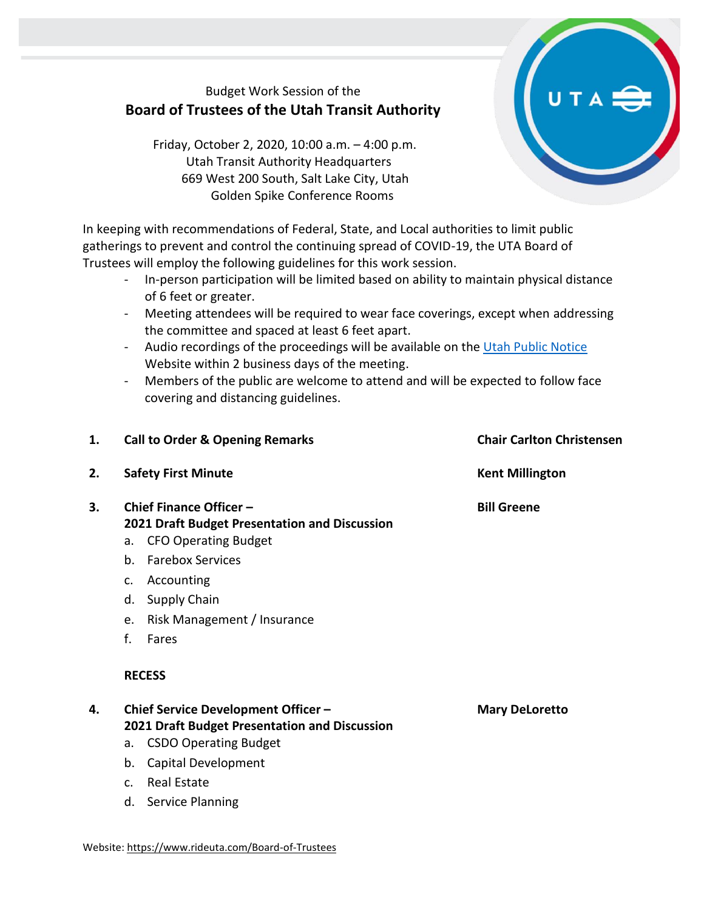## Budget Work Session of the **Board of Trustees of the Utah Transit Authority**

Friday, October 2, 2020, 10:00 a.m. – 4:00 p.m. Utah Transit Authority Headquarters 669 West 200 South, Salt Lake City, Utah Golden Spike Conference Rooms

In keeping with recommendations of Federal, State, and Local authorities to limit public gatherings to prevent and control the continuing spread of COVID-19, the UTA Board of Trustees will employ the following guidelines for this work session.

- In-person participation will be limited based on ability to maintain physical distance of 6 feet or greater.
- Meeting attendees will be required to wear face coverings, except when addressing the committee and spaced at least 6 feet apart.
- Audio recordings of the proceedings will be available on the [Utah Public Notice](https://www.utah.gov/pmn/index.html) Website within 2 business days of the meeting.
- Members of the public are welcome to attend and will be expected to follow face covering and distancing guidelines.

| 1. | <b>Call to Order &amp; Opening Remarks</b>                                                                                                                                                                                                                     | <b>Chair Carlton Christensen</b> |
|----|----------------------------------------------------------------------------------------------------------------------------------------------------------------------------------------------------------------------------------------------------------------|----------------------------------|
| 2. | <b>Safety First Minute</b>                                                                                                                                                                                                                                     | <b>Kent Millington</b>           |
| 3. | Chief Finance Officer -<br>2021 Draft Budget Presentation and Discussion<br>a. CFO Operating Budget<br><b>Farebox Services</b><br>b.<br>Accounting<br>$C_{\bullet}$<br>Supply Chain<br>d.<br>Risk Management / Insurance<br>e.<br>f.<br>Fares<br><b>RECESS</b> | <b>Bill Greene</b>               |
| 4. | Chief Service Development Officer -<br>2021 Draft Budget Presentation and Discussion<br>a. CSDO Operating Budget<br>Capital Development<br>b.<br><b>Real Estate</b><br>C <sub>1</sub><br><b>Service Planning</b><br>d.                                         | <b>Mary DeLoretto</b>            |

Website[: https://www.rideuta.com/Board-of-Trustees](https://www.rideuta.com/Board-of-Trustees)